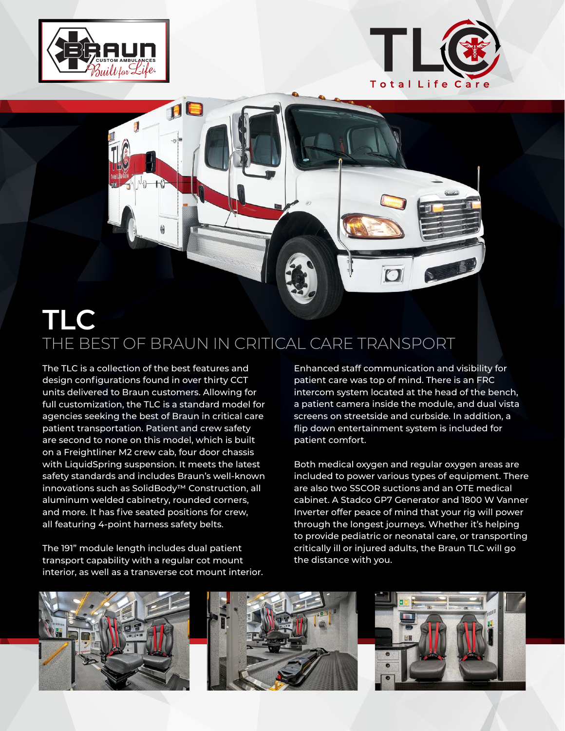



## $\Box$ **TLC**

## THE BEST OF BRAUN IN CRITICAL CARE TRANSPORT

The TLC is a collection of the best features and design configurations found in over thirty CCT units delivered to Braun customers. Allowing for full customization, the TLC is a standard model for agencies seeking the best of Braun in critical care patient transportation. Patient and crew safety are second to none on this model, which is built on a Freightliner M2 crew cab, four door chassis with LiquidSpring suspension. It meets the latest safety standards and includes Braun's well-known innovations such as SolidBody™ Construction, all aluminum welded cabinetry, rounded corners, and more. It has five seated positions for crew, all featuring 4-point harness safety belts.

The 191" module length includes dual patient transport capability with a regular cot mount interior, as well as a transverse cot mount interior. Enhanced staff communication and visibility for patient care was top of mind. There is an FRC intercom system located at the head of the bench, a patient camera inside the module, and dual vista screens on streetside and curbside. In addition, a flip down entertainment system is included for patient comfort.

Both medical oxygen and regular oxygen areas are included to power various types of equipment. There are also two SSCOR suctions and an OTE medical cabinet. A Stadco GP7 Generator and 1800 W Vanner Inverter offer peace of mind that your rig will power through the longest journeys. Whether it's helping to provide pediatric or neonatal care, or transporting critically ill or injured adults, the Braun TLC will go the distance with you.